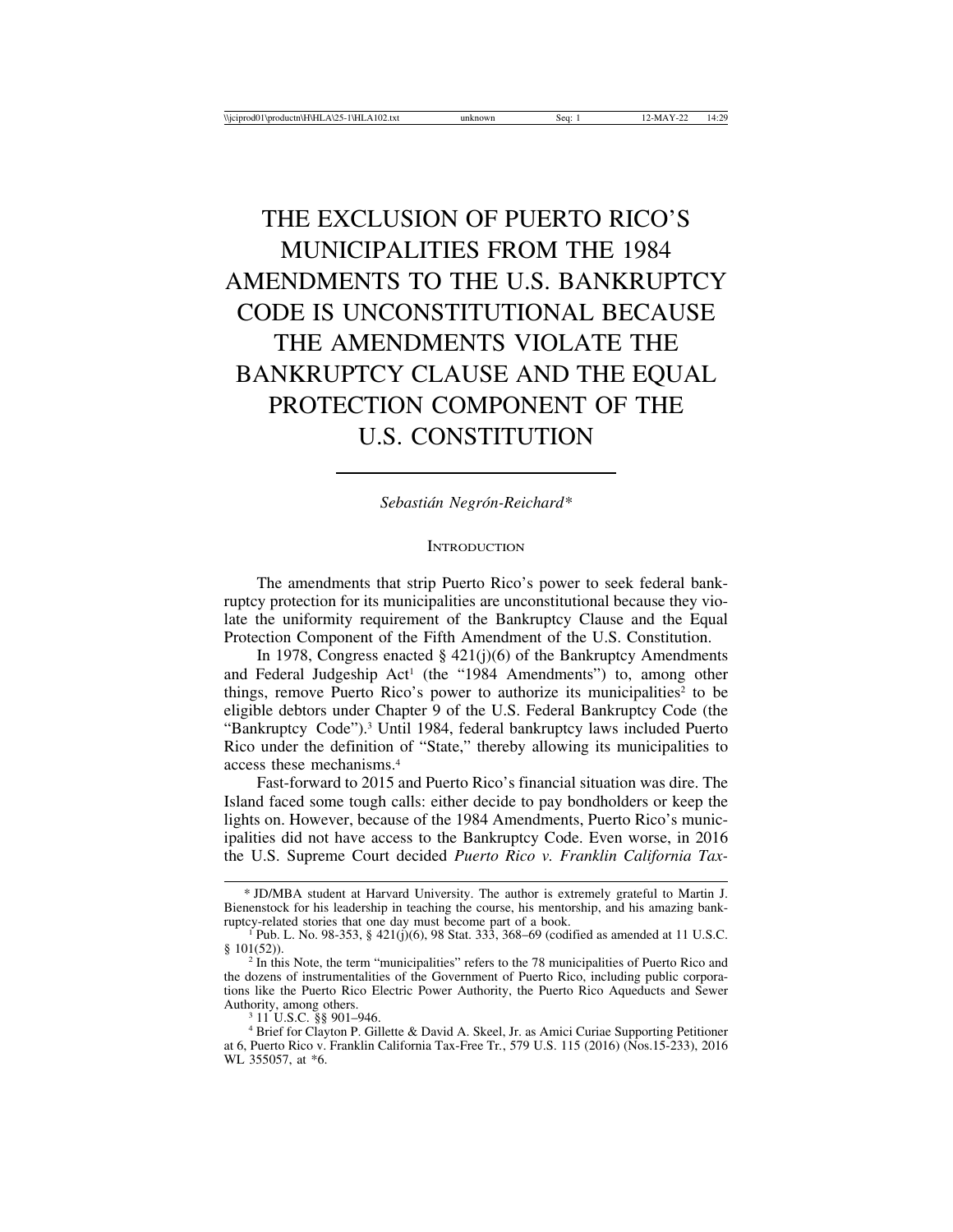# THE EXCLUSION OF PUERTO RICO'S MUNICIPALITIES FROM THE 1984 AMENDMENTS TO THE U.S. BANKRUPTCY CODE IS UNCONSTITUTIONAL BECAUSE THE AMENDMENTS VIOLATE THE BANKRUPTCY CLAUSE AND THE EQUAL PROTECTION COMPONENT OF THE U.S. CONSTITUTION

*Sebasti´an Negr´on-Reichard\**

**INTRODUCTION** 

The amendments that strip Puerto Rico's power to seek federal bankruptcy protection for its municipalities are unconstitutional because they violate the uniformity requirement of the Bankruptcy Clause and the Equal Protection Component of the Fifth Amendment of the U.S. Constitution.

In 1978, Congress enacted  $\S$  421(j)(6) of the Bankruptcy Amendments and Federal Judgeship Act<sup>1</sup> (the "1984 Amendments") to, among other things, remove Puerto Rico's power to authorize its municipalities<sup>2</sup> to be eligible debtors under Chapter 9 of the U.S. Federal Bankruptcy Code (the "Bankruptcy Code").3 Until 1984, federal bankruptcy laws included Puerto Rico under the definition of "State," thereby allowing its municipalities to access these mechanisms.4

Fast-forward to 2015 and Puerto Rico's financial situation was dire. The Island faced some tough calls: either decide to pay bondholders or keep the lights on. However, because of the 1984 Amendments, Puerto Rico's municipalities did not have access to the Bankruptcy Code. Even worse, in 2016 the U.S. Supreme Court decided *Puerto Rico v. Franklin California Tax-*

<sup>\*</sup> JD/MBA student at Harvard University. The author is extremely grateful to Martin J. Bienenstock for his leadership in teaching the course, his mentorship, and his amazing bank-

ruptonal part of a book.  $\frac{421(j)(6)}{98 \text{ Stat.}}$  333, 368–69 (codified as amended at 11 U.S.C.  $\frac{1}{2}$  101(52)).<br><sup>2</sup> In this Note, the term "municipalities" refers to the 78 municipalities of Puerto Rico and

the dozens of instrumentalities of the Government of Puerto Rico, including public corporations like the Puerto Rico Electric Power Authority, the Puerto Rico Aqueducts and Sewer

<sup>&</sup>lt;sup>3</sup> 11 U.S.C. §§ 901–946.  $4 B = 46$ . 4 Brief for Clayton P. Gillette & David A. Skeel, Jr. as Amici Curiae Supporting Petitioner at 6, Puerto Rico v. Franklin California Tax-Free Tr*.*, 579 U.S. 115 (2016) (Nos.15-233), 2016 WL 355057, at \*6.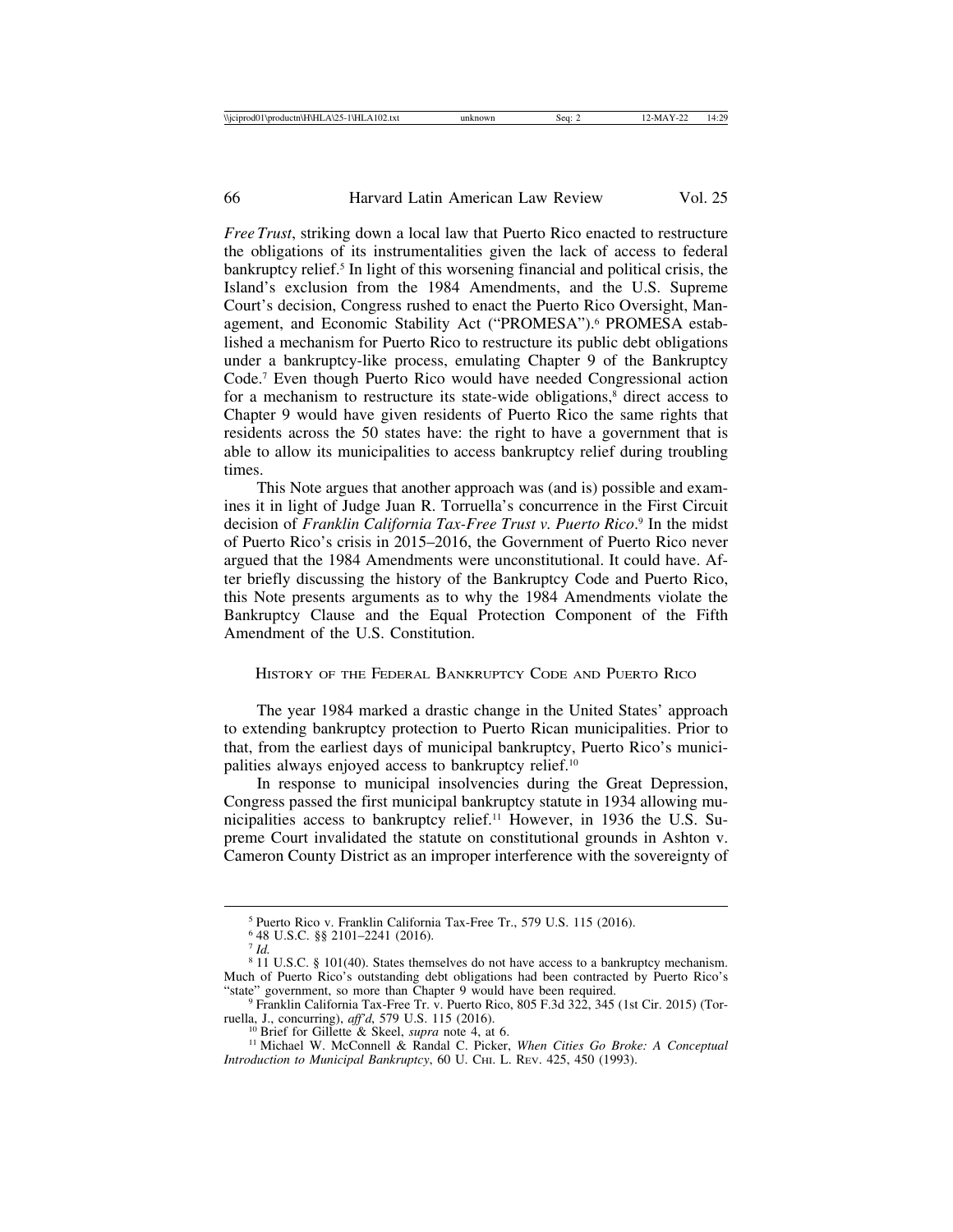*Free Trust*, striking down a local law that Puerto Rico enacted to restructure the obligations of its instrumentalities given the lack of access to federal bankruptcy relief.<sup>5</sup> In light of this worsening financial and political crisis, the Island's exclusion from the 1984 Amendments, and the U.S. Supreme Court's decision, Congress rushed to enact the Puerto Rico Oversight, Management, and Economic Stability Act ("PROMESA").<sup>6</sup> PROMESA established a mechanism for Puerto Rico to restructure its public debt obligations under a bankruptcy-like process, emulating Chapter 9 of the Bankruptcy Code.7 Even though Puerto Rico would have needed Congressional action for a mechanism to restructure its state-wide obligations, $\delta$  direct access to Chapter 9 would have given residents of Puerto Rico the same rights that residents across the 50 states have: the right to have a government that is able to allow its municipalities to access bankruptcy relief during troubling times.

This Note argues that another approach was (and is) possible and examines it in light of Judge Juan R. Torruella's concurrence in the First Circuit decision of *Franklin California Tax-Free Trust v. Puerto Rico*. 9 In the midst of Puerto Rico's crisis in 2015–2016, the Government of Puerto Rico never argued that the 1984 Amendments were unconstitutional. It could have. After briefly discussing the history of the Bankruptcy Code and Puerto Rico, this Note presents arguments as to why the 1984 Amendments violate the Bankruptcy Clause and the Equal Protection Component of the Fifth Amendment of the U.S. Constitution.

HISTORY OF THE FEDERAL BANKRUPTCY CODE AND PUERTO RICO

The year 1984 marked a drastic change in the United States' approach to extending bankruptcy protection to Puerto Rican municipalities. Prior to that, from the earliest days of municipal bankruptcy, Puerto Rico's municipalities always enjoyed access to bankruptcy relief.10

In response to municipal insolvencies during the Great Depression, Congress passed the first municipal bankruptcy statute in 1934 allowing municipalities access to bankruptcy relief.11 However, in 1936 the U.S. Supreme Court invalidated the statute on constitutional grounds in Ashton v. Cameron County District as an improper interference with the sovereignty of

<sup>5</sup> Puerto Rico v. Franklin California Tax-Free Tr., 579 U.S. 115 (2016).

<sup>6</sup> 48 U.S.C. §§ 2101–2241 (2016). <sup>7</sup> *Id.*

<sup>8</sup> 11 U.S.C. § 101(40). States themselves do not have access to a bankruptcy mechanism. Much of Puerto Rico's outstanding debt obligations had been contracted by Puerto Rico's "state" government, so more than Chapter 9 would have been required.

 $^9$  Franklin California Tax-Free Tr. v. Puerto Rico, 805 F.3d 322, 345 (1st Cir. 2015) (Tor-ruella, J., concurring), *aff'd*, 579 U.S. 115 (2016).

<sup>&</sup>lt;sup>10</sup> Brief for Gillette & Skeel, *supra* note 4, at 6.<br><sup>11</sup> Michael W. McConnell & Randal C. Picker, *When Cities Go Broke: A Conceptual Introduction to Municipal Bankruptcy*, 60 U. CHI. L. REV. 425, 450 (1993).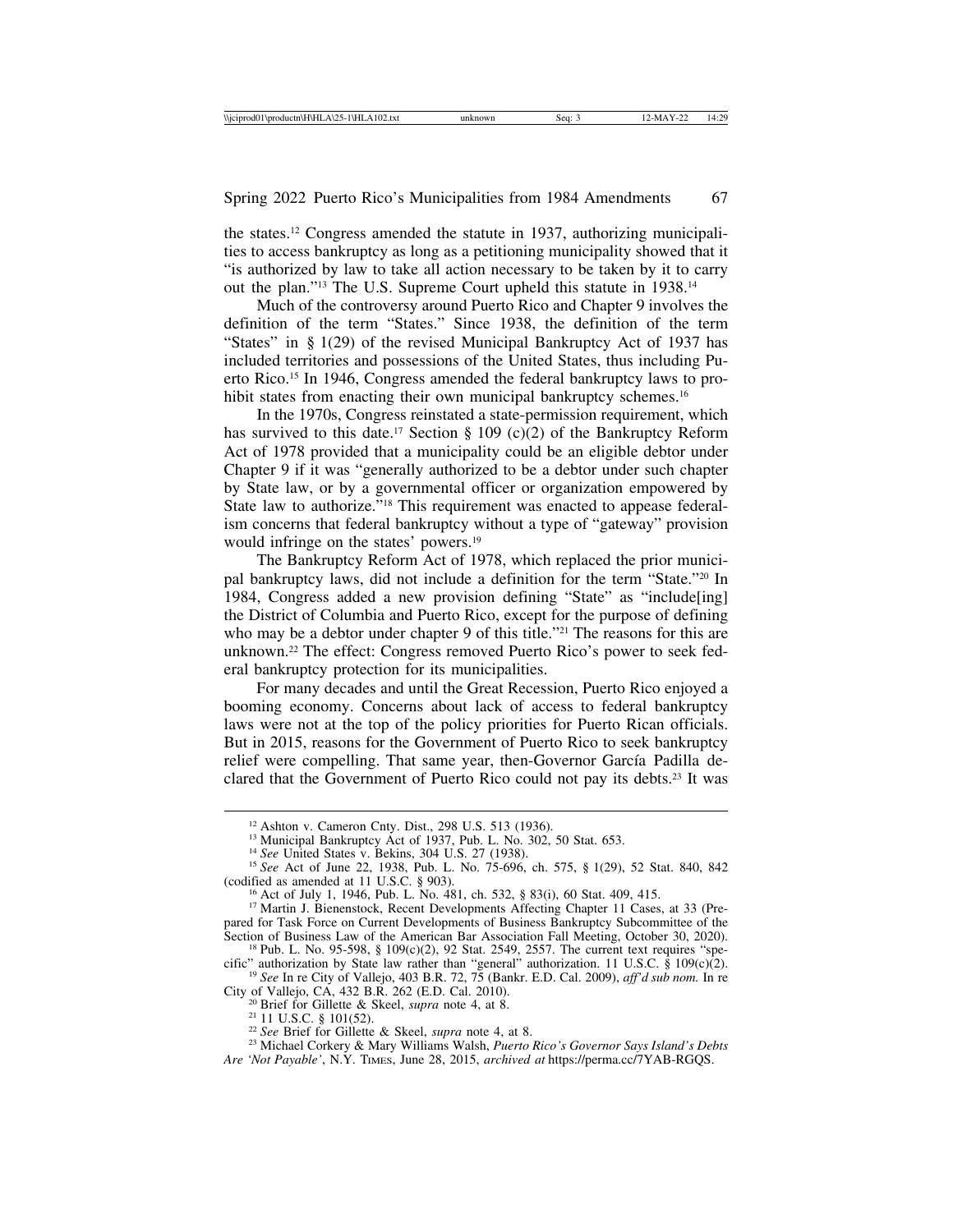the states.12 Congress amended the statute in 1937, authorizing municipalities to access bankruptcy as long as a petitioning municipality showed that it "is authorized by law to take all action necessary to be taken by it to carry out the plan."13 The U.S. Supreme Court upheld this statute in 1938.14

Much of the controversy around Puerto Rico and Chapter 9 involves the definition of the term "States." Since 1938, the definition of the term "States" in § 1(29) of the revised Municipal Bankruptcy Act of 1937 has included territories and possessions of the United States, thus including Puerto Rico.15 In 1946, Congress amended the federal bankruptcy laws to prohibit states from enacting their own municipal bankruptcy schemes.<sup>16</sup>

In the 1970s, Congress reinstated a state-permission requirement, which has survived to this date.<sup>17</sup> Section § 109 (c)(2) of the Bankruptcy Reform Act of 1978 provided that a municipality could be an eligible debtor under Chapter 9 if it was "generally authorized to be a debtor under such chapter by State law, or by a governmental officer or organization empowered by State law to authorize."18 This requirement was enacted to appease federalism concerns that federal bankruptcy without a type of "gateway" provision would infringe on the states' powers.19

The Bankruptcy Reform Act of 1978, which replaced the prior municipal bankruptcy laws, did not include a definition for the term "State."20 In 1984, Congress added a new provision defining "State" as "include[ing] the District of Columbia and Puerto Rico, except for the purpose of defining who may be a debtor under chapter 9 of this title."<sup>21</sup> The reasons for this are unknown.22 The effect: Congress removed Puerto Rico's power to seek federal bankruptcy protection for its municipalities.

For many decades and until the Great Recession, Puerto Rico enjoyed a booming economy. Concerns about lack of access to federal bankruptcy laws were not at the top of the policy priorities for Puerto Rican officials. But in 2015, reasons for the Government of Puerto Rico to seek bankruptcy relief were compelling. That same year, then-Governor García Padilla declared that the Government of Puerto Rico could not pay its debts.23 It was

<sup>&</sup>lt;sup>12</sup> Ashton v. Cameron Cnty. Dist., 298 U.S. 513 (1936).<br><sup>13</sup> Municipal Bankruptcy Act of 1937, Pub. L. No. 302, 50 Stat. 653.<br><sup>14</sup> See United States v. Bekins, 304 U.S. 27 (1938).<br><sup>15</sup> See Act of June 22, 1938, Pub. L. N

<sup>&</sup>lt;sup>16</sup> Act of July 1, 1946, Pub. L. No. 481, ch. 532, § 83(i), 60 Stat. 409, 415. 17 Martin J. Bienenstock, Recent Developments Affecting Chapter 11 Cases, at 33 (Pre-

pared for Task Force on Current Developments of Business Bankruptcy Subcommittee of the Section of Business Law of the American Bar Association Fall Meeting, October 30, 2020).

<sup>&</sup>lt;sup>18</sup> Pub. L. No. 95-598, § 109(c)(2), 92 Stat. 2549, 2557. The current text requires "spe-

cific" authorization by State law rather than "general" authorization. 11 U.S.C. § 109(c)(2). <sup>19</sup> *See* In re City of Vallejo, 403 B.R. 72, 75 (Bankr. E.D. Cal. 2009), *aff'd sub nom.* In re

<sup>&</sup>lt;sup>20</sup> Brief for Gillette & Skeel, *supra* note 4, at 8.<br>
<sup>21</sup> 11 U.S.C. § 101(52).<br>
<sup>22</sup> See Brief for Gillette & Skeel, *supra* note 4, at 8.<br>
<sup>23</sup> Michael Corkery & Mary Williams Walsh, *Puerto Rico's Governor Says Islan Are 'Not Payable'*, N.Y. TIMES, June 28, 2015, *archived at* https://perma.cc/7YAB-RGQS.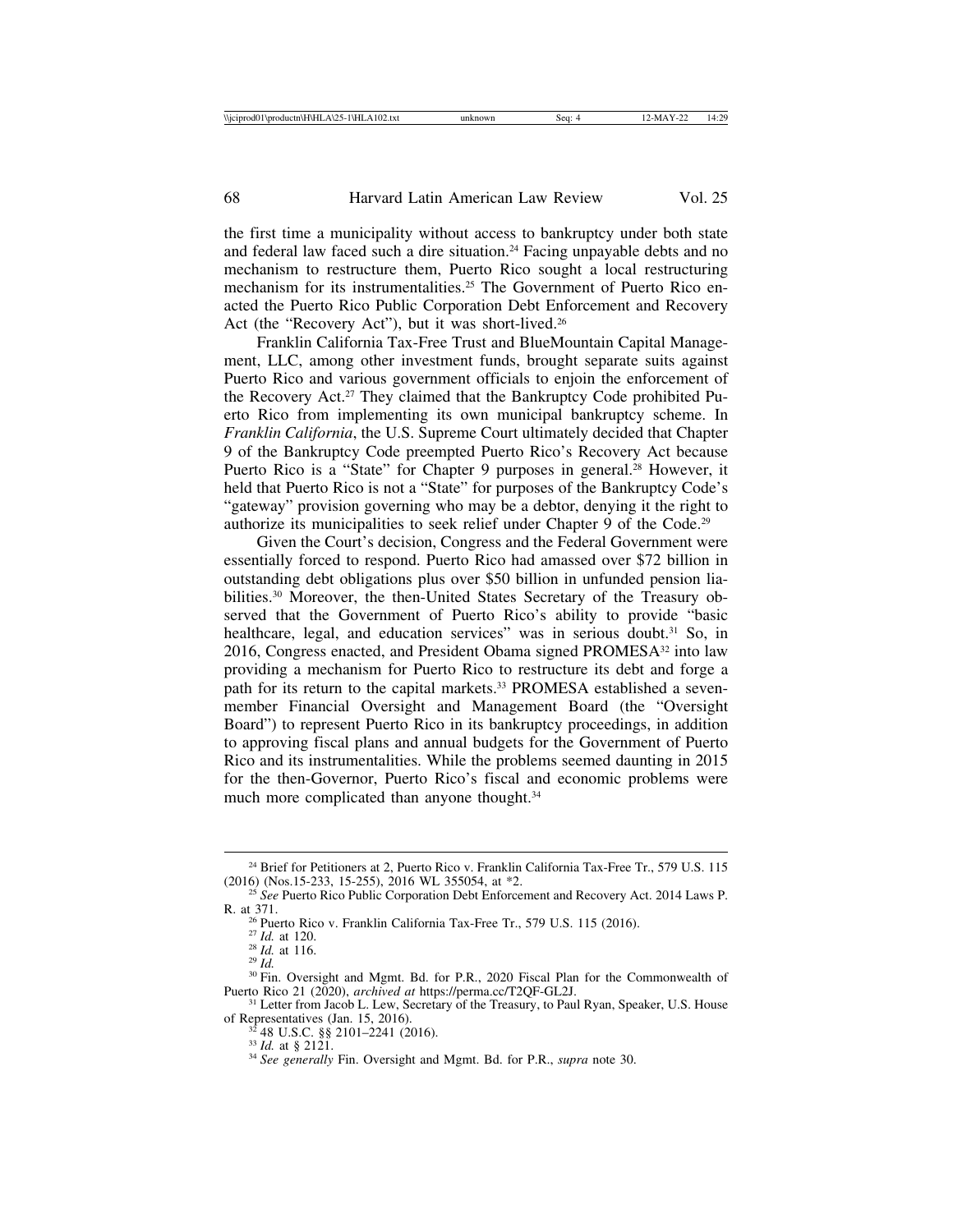the first time a municipality without access to bankruptcy under both state and federal law faced such a dire situation.24 Facing unpayable debts and no mechanism to restructure them, Puerto Rico sought a local restructuring mechanism for its instrumentalities.<sup>25</sup> The Government of Puerto Rico enacted the Puerto Rico Public Corporation Debt Enforcement and Recovery Act (the "Recovery Act"), but it was short-lived.<sup>26</sup>

Franklin California Tax-Free Trust and BlueMountain Capital Management, LLC, among other investment funds, brought separate suits against Puerto Rico and various government officials to enjoin the enforcement of the Recovery Act.27 They claimed that the Bankruptcy Code prohibited Puerto Rico from implementing its own municipal bankruptcy scheme. In *Franklin California*, the U.S. Supreme Court ultimately decided that Chapter 9 of the Bankruptcy Code preempted Puerto Rico's Recovery Act because Puerto Rico is a "State" for Chapter 9 purposes in general.<sup>28</sup> However, it held that Puerto Rico is not a "State" for purposes of the Bankruptcy Code's "gateway" provision governing who may be a debtor, denying it the right to authorize its municipalities to seek relief under Chapter 9 of the Code.29

Given the Court's decision, Congress and the Federal Government were essentially forced to respond. Puerto Rico had amassed over \$72 billion in outstanding debt obligations plus over \$50 billion in unfunded pension liabilities.30 Moreover, the then-United States Secretary of the Treasury observed that the Government of Puerto Rico's ability to provide "basic healthcare, legal, and education services" was in serious doubt.<sup>31</sup> So, in 2016, Congress enacted, and President Obama signed PROMESA<sup>32</sup> into law providing a mechanism for Puerto Rico to restructure its debt and forge a path for its return to the capital markets.<sup>33</sup> PROMESA established a sevenmember Financial Oversight and Management Board (the "Oversight Board") to represent Puerto Rico in its bankruptcy proceedings, in addition to approving fiscal plans and annual budgets for the Government of Puerto Rico and its instrumentalities. While the problems seemed daunting in 2015 for the then-Governor, Puerto Rico's fiscal and economic problems were much more complicated than anyone thought.<sup>34</sup>

<sup>&</sup>lt;sup>24</sup> Brief for Petitioners at 2, Puerto Rico v. Franklin California Tax-Free Tr., 579 U.S. 115 (2016) (Nos.15-233, 15-255), 2016 WL 355054, at  $*2$ .

<sup>&</sup>lt;sup>25</sup> See Puerto Rico Public Corporation Debt Enforcement and Recovery Act. 2014 Laws P.

R. at 371.<br><sup>26</sup> Puerto Rico v. Franklin California Tax-Free Tr., 579 U.S. 115 (2016).<br><sup>27</sup> *Id.* at 116.<br><sup>28</sup> *Id.* <sup>30</sup> Fin. Oversight and Mgmt. Bd. for P.R., 2020 Fiscal Plan for the Commonwealth of<br>Puerto Rico 21 (2020)

<sup>&</sup>lt;sup>31</sup> Letter from Jacob L. Lew, Secretary of the Treasury, to Paul Ryan, Speaker, U.S. House of Representatives (Jan. 15, 2016).<br><sup>32</sup> 48 U.S.C. §§ 2101–2241 (2016).<br><sup>33</sup> *Id.* at § 2121.<br><sup>34</sup> *See generally* Fin. Oversight and Mgmt. Bd. for P.R., *supra* note 30.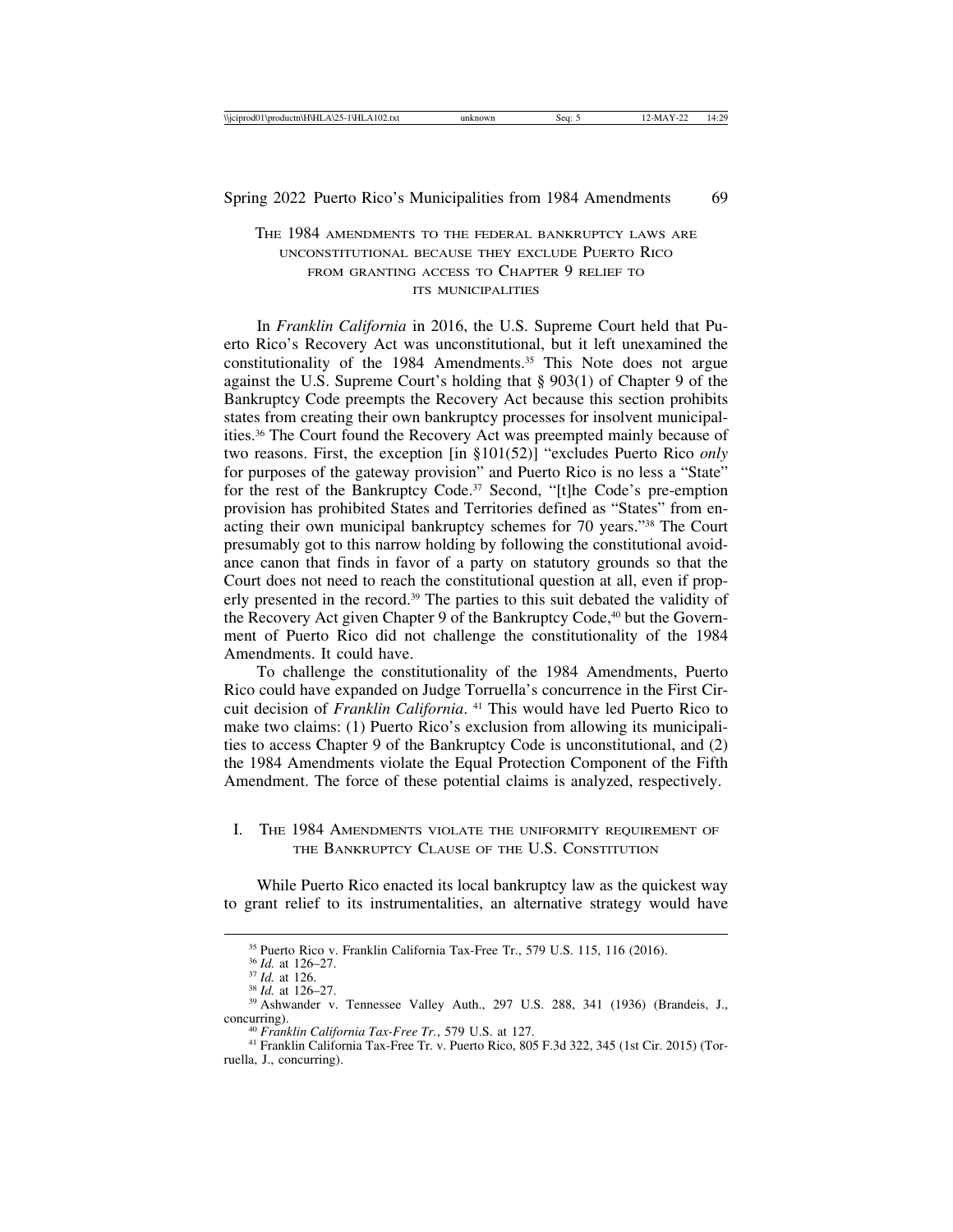# THE 1984 AMENDMENTS TO THE FEDERAL BANKRUPTCY LAWS ARE UNCONSTITUTIONAL BECAUSE THEY EXCLUDE PUERTO RICO FROM GRANTING ACCESS TO CHAPTER 9 RELIEF TO ITS MUNICIPALITIES

In *Franklin California* in 2016, the U.S. Supreme Court held that Puerto Rico's Recovery Act was unconstitutional, but it left unexamined the constitutionality of the 1984 Amendments.<sup>35</sup> This Note does not argue against the U.S. Supreme Court's holding that § 903(1) of Chapter 9 of the Bankruptcy Code preempts the Recovery Act because this section prohibits states from creating their own bankruptcy processes for insolvent municipalities.36 The Court found the Recovery Act was preempted mainly because of two reasons. First, the exception [in §101(52)] "excludes Puerto Rico *only* for purposes of the gateway provision" and Puerto Rico is no less a "State" for the rest of the Bankruptcy Code.<sup>37</sup> Second, "[t]he Code's pre-emption provision has prohibited States and Territories defined as "States" from enacting their own municipal bankruptcy schemes for 70 years."38 The Court presumably got to this narrow holding by following the constitutional avoidance canon that finds in favor of a party on statutory grounds so that the Court does not need to reach the constitutional question at all, even if properly presented in the record.39 The parties to this suit debated the validity of the Recovery Act given Chapter 9 of the Bankruptcy Code,<sup>40</sup> but the Government of Puerto Rico did not challenge the constitutionality of the 1984 Amendments. It could have.

To challenge the constitutionality of the 1984 Amendments, Puerto Rico could have expanded on Judge Torruella's concurrence in the First Circuit decision of *Franklin California*. 41 This would have led Puerto Rico to make two claims: (1) Puerto Rico's exclusion from allowing its municipalities to access Chapter 9 of the Bankruptcy Code is unconstitutional, and (2) the 1984 Amendments violate the Equal Protection Component of the Fifth Amendment. The force of these potential claims is analyzed, respectively.

### I. THE 1984 AMENDMENTS VIOLATE THE UNIFORMITY REQUIREMENT OF THE BANKRUPTCY CLAUSE OF THE U.S. CONSTITUTION

While Puerto Rico enacted its local bankruptcy law as the quickest way to grant relief to its instrumentalities, an alternative strategy would have

<sup>&</sup>lt;sup>35</sup> Puerto Rico v. Franklin California Tax-Free Tr., 579 U.S. 115, 116 (2016).<br><sup>36</sup> *Id.* at 126–27.<br><sup>37</sup> *Id.* at 126.<br><sup>38</sup> *Id.* at 126–27.<br><sup>38</sup> *Id.* at 126–27.<br><sup>39</sup> Ashwander v. Tennessee Valley Auth., 297 U.S. 288, concurring). <sup>40</sup> *Franklin California Tax-Free Tr.*, 579 U.S. at 127. <sup>41</sup> Franklin California Tax-Free Tr. v. Puerto Rico, 805 F.3d 322, 345 (1st Cir. 2015) (Tor-

ruella, J., concurring).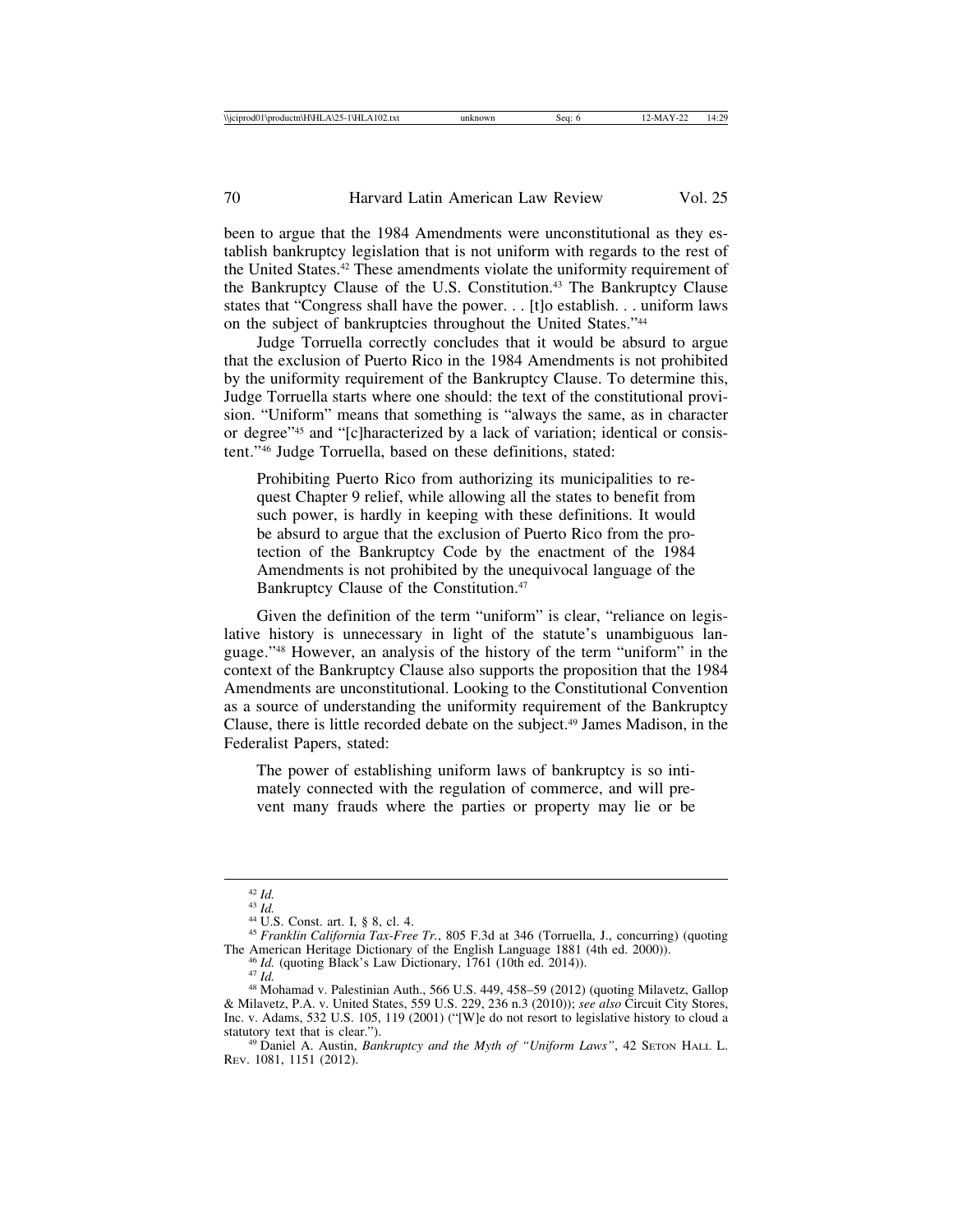been to argue that the 1984 Amendments were unconstitutional as they establish bankruptcy legislation that is not uniform with regards to the rest of the United States.42 These amendments violate the uniformity requirement of the Bankruptcy Clause of the U.S. Constitution.43 The Bankruptcy Clause states that "Congress shall have the power. . . [t]o establish. . . uniform laws on the subject of bankruptcies throughout the United States."44

Judge Torruella correctly concludes that it would be absurd to argue that the exclusion of Puerto Rico in the 1984 Amendments is not prohibited by the uniformity requirement of the Bankruptcy Clause. To determine this, Judge Torruella starts where one should: the text of the constitutional provision. "Uniform" means that something is "always the same, as in character or degree"45 and "[c]haracterized by a lack of variation; identical or consistent."46 Judge Torruella, based on these definitions, stated:

Prohibiting Puerto Rico from authorizing its municipalities to request Chapter 9 relief, while allowing all the states to benefit from such power, is hardly in keeping with these definitions. It would be absurd to argue that the exclusion of Puerto Rico from the protection of the Bankruptcy Code by the enactment of the 1984 Amendments is not prohibited by the unequivocal language of the Bankruptcy Clause of the Constitution.<sup>47</sup>

Given the definition of the term "uniform" is clear, "reliance on legislative history is unnecessary in light of the statute's unambiguous language."48 However, an analysis of the history of the term "uniform" in the context of the Bankruptcy Clause also supports the proposition that the 1984 Amendments are unconstitutional. Looking to the Constitutional Convention as a source of understanding the uniformity requirement of the Bankruptcy Clause, there is little recorded debate on the subject.49 James Madison, in the Federalist Papers, stated:

The power of establishing uniform laws of bankruptcy is so intimately connected with the regulation of commerce, and will prevent many frauds where the parties or property may lie or be

<sup>&</sup>lt;sup>42</sup> *Id.*<br><sup>43</sup> *Id.*<br><sup>44</sup> U.S. Const. art. I, § 8, cl. 4.<br><sup>45</sup> *Franklin California Tax-Free Tr.*, 805 F.3d at 346 (Torruella, J., concurring) (quoting<br>The American Heritage Dictionary of the English Language 1881 (4th ed

<sup>&</sup>lt;sup>46</sup> *Id.* (quoting Black's Law Dictionary, 1761 (10th ed. 2014)).<br><sup>47</sup> *Id.*<br><sup>48</sup> Mohamad v. Palestinian Auth., 566 U.S. 449, 458–59 (2012) (quoting Milavetz, Gallop & Milavetz, P.A. v. United States, 559 U.S. 229, 236 n.3 (2010)); *see also* Circuit City Stores, Inc. v. Adams, 532 U.S. 105, 119 (2001) ("[W]e do not resort to legislative history to cloud a

<sup>&</sup>lt;sup>49</sup> Daniel A. Austin, *Bankruptcy and the Myth of "Uniform Laws"*, 42 SETON HALL L. REV. 1081, 1151 (2012).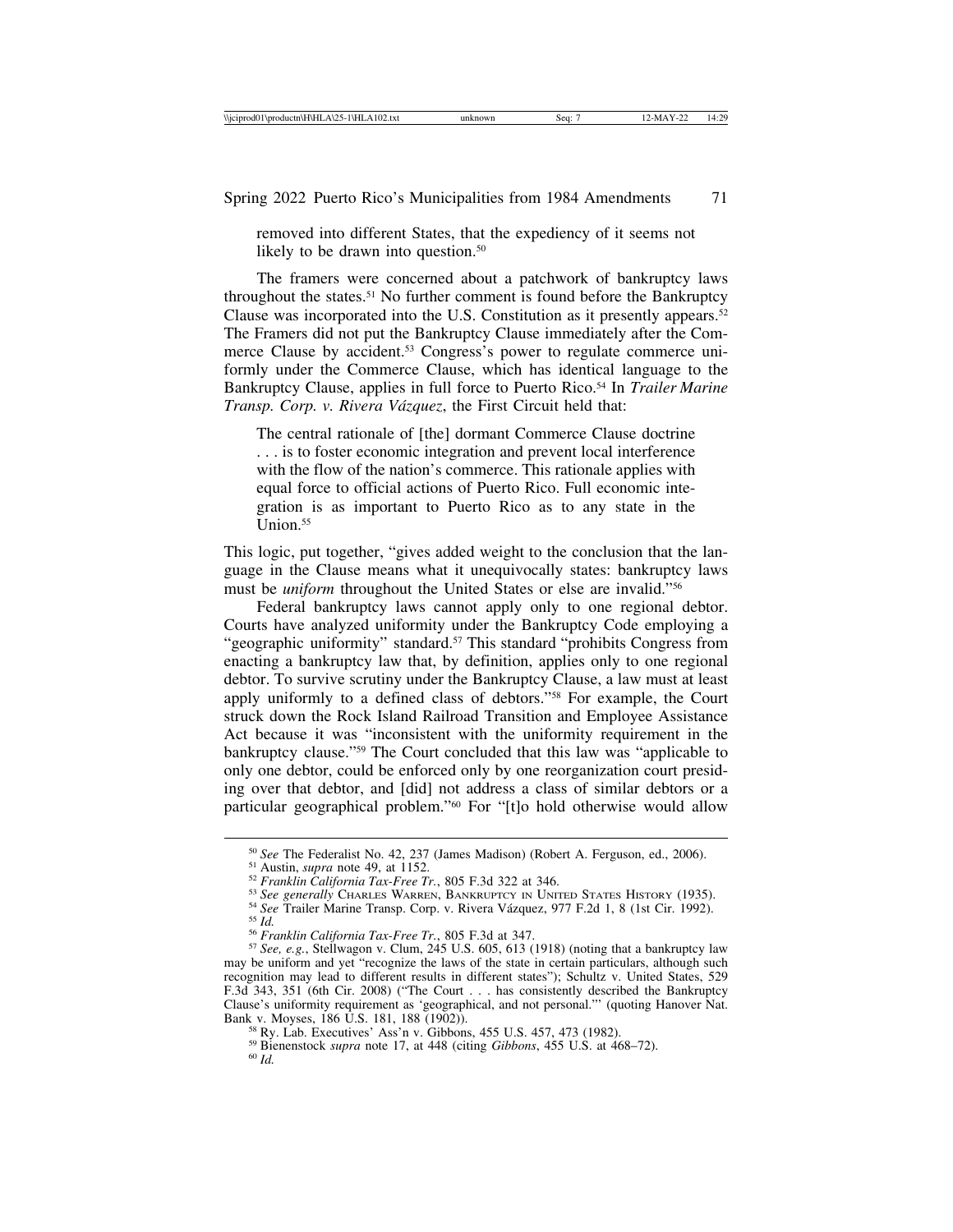removed into different States, that the expediency of it seems not likely to be drawn into question.<sup>50</sup>

The framers were concerned about a patchwork of bankruptcy laws throughout the states.<sup>51</sup> No further comment is found before the Bankruptcy Clause was incorporated into the U.S. Constitution as it presently appears.<sup>52</sup> The Framers did not put the Bankruptcy Clause immediately after the Commerce Clause by accident.<sup>53</sup> Congress's power to regulate commerce uniformly under the Commerce Clause, which has identical language to the Bankruptcy Clause, applies in full force to Puerto Rico.54 In *Trailer Marine Transp. Corp. v. Rivera V´azquez*, the First Circuit held that:

The central rationale of [the] dormant Commerce Clause doctrine . . . is to foster economic integration and prevent local interference with the flow of the nation's commerce. This rationale applies with equal force to official actions of Puerto Rico. Full economic integration is as important to Puerto Rico as to any state in the  $Union.<sup>55</sup>$ 

This logic, put together, "gives added weight to the conclusion that the language in the Clause means what it unequivocally states: bankruptcy laws must be *uniform* throughout the United States or else are invalid."56

Federal bankruptcy laws cannot apply only to one regional debtor. Courts have analyzed uniformity under the Bankruptcy Code employing a "geographic uniformity" standard.<sup>57</sup> This standard "prohibits Congress from enacting a bankruptcy law that, by definition, applies only to one regional debtor. To survive scrutiny under the Bankruptcy Clause, a law must at least apply uniformly to a defined class of debtors."58 For example, the Court struck down the Rock Island Railroad Transition and Employee Assistance Act because it was "inconsistent with the uniformity requirement in the bankruptcy clause."59 The Court concluded that this law was "applicable to only one debtor, could be enforced only by one reorganization court presiding over that debtor, and [did] not address a class of similar debtors or a particular geographical problem."60 For "[t]o hold otherwise would allow

<sup>&</sup>lt;sup>50</sup> See The Federalist No. 42, 237 (James Madison) (Robert A. Ferguson, ed., 2006).<br><sup>51</sup> Austin, *supra* note 49, at 1152.<br><sup>52</sup> Franklin California Tax-Free Tr., 805 F.3d 322 at 346.<br><sup>53</sup> See generally CHARLES WARREN, BA

may be uniform and yet "recognize the laws of the state in certain particulars, although such recognition may lead to different results in different states"); Schultz v. United States, 529 F.3d 343, 351 (6th Cir. 2008) ("The Court . . . has consistently described the Bankruptcy Clause's uniformity requirement as 'geographical, and not personal."' (quoting Hanover Nat.

<sup>&</sup>lt;sup>58</sup> Ry. Lab. Executives' Ass'n v. Gibbons, 455 U.S. 457, 473 (1982).<br><sup>59</sup> Bienenstock *supra* note 17, at 448 (citing *Gibbons*, 455 U.S. at 468–72).<br><sup>60</sup> *Id.*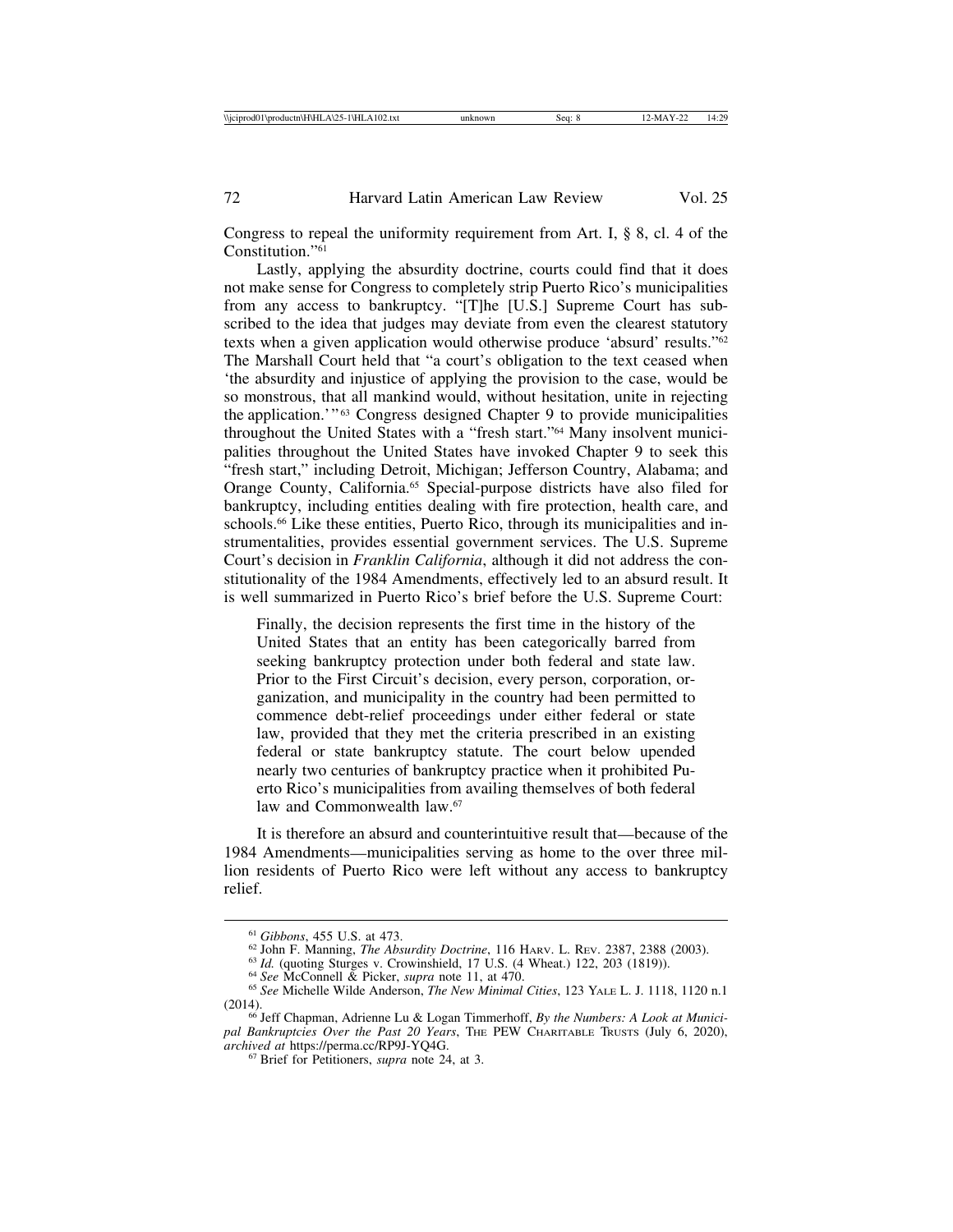Congress to repeal the uniformity requirement from Art. I, § 8, cl. 4 of the Constitution."61

Lastly, applying the absurdity doctrine, courts could find that it does not make sense for Congress to completely strip Puerto Rico's municipalities from any access to bankruptcy. "[T]he [U.S.] Supreme Court has subscribed to the idea that judges may deviate from even the clearest statutory texts when a given application would otherwise produce 'absurd' results."62 The Marshall Court held that "a court's obligation to the text ceased when 'the absurdity and injustice of applying the provision to the case, would be so monstrous, that all mankind would, without hesitation, unite in rejecting the application.'"<sup>63</sup> Congress designed Chapter 9 to provide municipalities throughout the United States with a "fresh start."64 Many insolvent municipalities throughout the United States have invoked Chapter 9 to seek this "fresh start," including Detroit, Michigan; Jefferson Country, Alabama; and Orange County, California.65 Special-purpose districts have also filed for bankruptcy, including entities dealing with fire protection, health care, and schools.<sup>66</sup> Like these entities, Puerto Rico, through its municipalities and instrumentalities, provides essential government services. The U.S. Supreme Court's decision in *Franklin California*, although it did not address the constitutionality of the 1984 Amendments, effectively led to an absurd result. It is well summarized in Puerto Rico's brief before the U.S. Supreme Court:

Finally, the decision represents the first time in the history of the United States that an entity has been categorically barred from seeking bankruptcy protection under both federal and state law. Prior to the First Circuit's decision, every person, corporation, organization, and municipality in the country had been permitted to commence debt-relief proceedings under either federal or state law, provided that they met the criteria prescribed in an existing federal or state bankruptcy statute. The court below upended nearly two centuries of bankruptcy practice when it prohibited Puerto Rico's municipalities from availing themselves of both federal law and Commonwealth law.<sup>67</sup>

It is therefore an absurd and counterintuitive result that—because of the 1984 Amendments—municipalities serving as home to the over three million residents of Puerto Rico were left without any access to bankruptcy relief.

<sup>&</sup>lt;sup>61</sup> Gibbons, 455 U.S. at 473.<br><sup>62</sup> John F. Manning, *The Absurdity Doctrine*, 116 Harv. L. REV. 2387, 2388 (2003).<br><sup>63</sup> *Id.* (quoting Sturges v. Crowinshield, 17 U.S. (4 Wheat.) 122, 203 (1819)).<br><sup>64</sup> *See* McConnell &

<sup>(2014).</sup> <sup>66</sup> Jeff Chapman, Adrienne Lu & Logan Timmerhoff, *By the Numbers: A Look at Munici-*

*pal Bankruptcies Over the Past 20 Years*, THE PEW CHARITABLE TRUSTS (July 6, 2020), *archived at https://perma.cc/RP9J-YO4G.* 

<sup>&</sup>lt;sup>67</sup> Brief for Petitioners, *supra* note 24, at 3.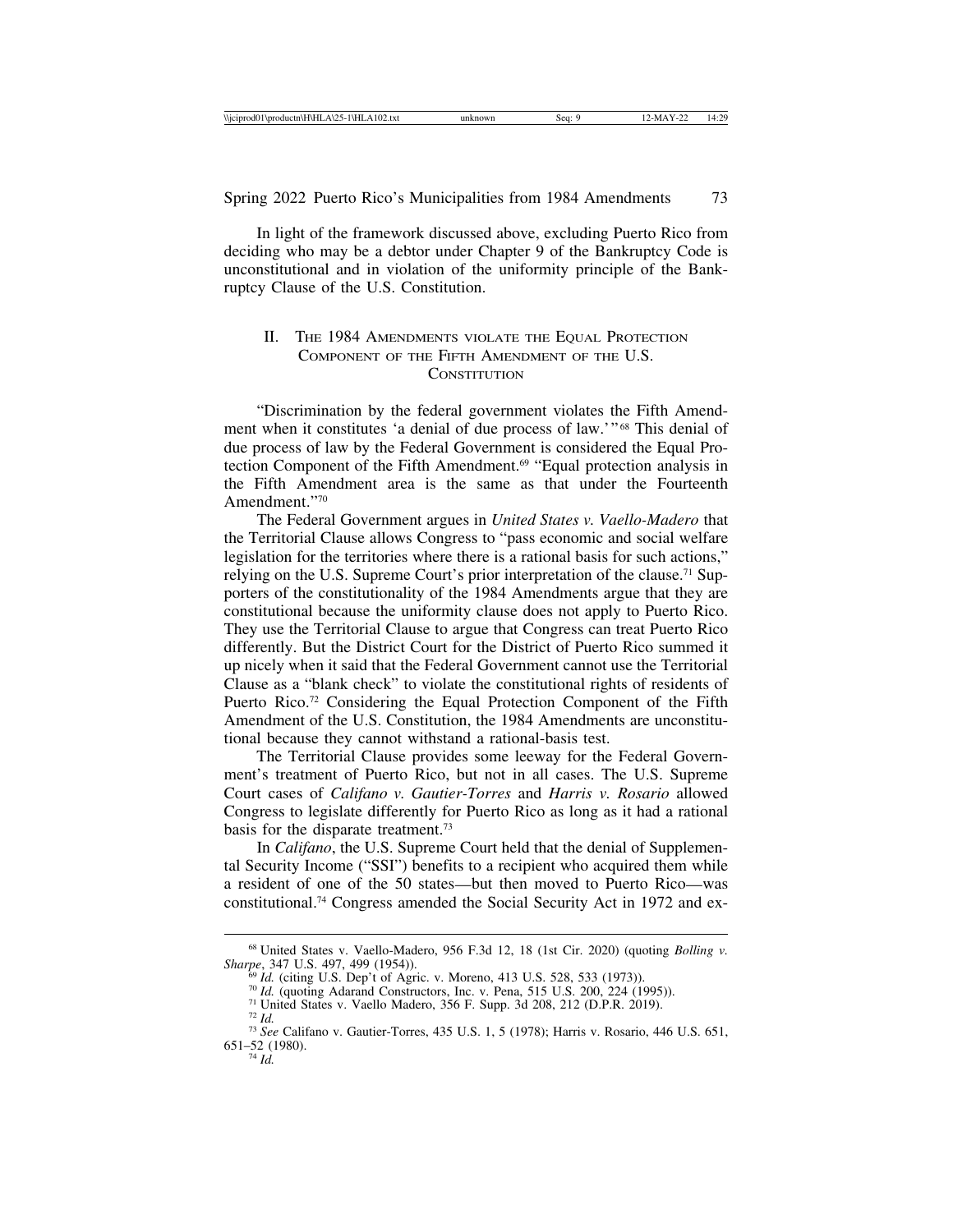In light of the framework discussed above, excluding Puerto Rico from deciding who may be a debtor under Chapter 9 of the Bankruptcy Code is unconstitutional and in violation of the uniformity principle of the Bankruptcy Clause of the U.S. Constitution.

# II. THE 1984 AMENDMENTS VIOLATE THE EQUAL PROTECTION COMPONENT OF THE FIFTH AMENDMENT OF THE U.S. **CONSTITUTION**

"Discrimination by the federal government violates the Fifth Amendment when it constitutes 'a denial of due process of law.'"<sup>68</sup> This denial of due process of law by the Federal Government is considered the Equal Protection Component of the Fifth Amendment.<sup>69</sup> "Equal protection analysis in the Fifth Amendment area is the same as that under the Fourteenth Amendment."70

The Federal Government argues in *United States v. Vaello-Madero* that the Territorial Clause allows Congress to "pass economic and social welfare legislation for the territories where there is a rational basis for such actions," relying on the U.S. Supreme Court's prior interpretation of the clause.<sup>71</sup> Supporters of the constitutionality of the 1984 Amendments argue that they are constitutional because the uniformity clause does not apply to Puerto Rico. They use the Territorial Clause to argue that Congress can treat Puerto Rico differently. But the District Court for the District of Puerto Rico summed it up nicely when it said that the Federal Government cannot use the Territorial Clause as a "blank check" to violate the constitutional rights of residents of Puerto Rico.<sup>72</sup> Considering the Equal Protection Component of the Fifth Amendment of the U.S. Constitution, the 1984 Amendments are unconstitutional because they cannot withstand a rational-basis test.

The Territorial Clause provides some leeway for the Federal Government's treatment of Puerto Rico, but not in all cases. The U.S. Supreme Court cases of *Califano v. Gautier-Torres* and *Harris v. Rosario* allowed Congress to legislate differently for Puerto Rico as long as it had a rational basis for the disparate treatment.73

In *Califano*, the U.S. Supreme Court held that the denial of Supplemental Security Income ("SSI") benefits to a recipient who acquired them while a resident of one of the 50 states—but then moved to Puerto Rico—was constitutional.74 Congress amended the Social Security Act in 1972 and ex-

<sup>68</sup> United States v. Vaello-Madero, 956 F.3d 12, 18 (1st Cir. 2020) (quoting *Bolling v.*

<sup>&</sup>lt;sup>69</sup> *Id.* (citing U.S. Dep't of Agric. v. Moreno, 413 U.S. 528, 533 (1973)).<br><sup>70</sup> *Id.* (quoting Adarand Constructors, Inc. v. Pena, 515 U.S. 200, 224 (1995)).<br><sup>71</sup> United States v. Vaello Madero, 356 F. Supp. 3d 208, 21

<sup>651</sup>–52 (1980).

<sup>74</sup> *Id.*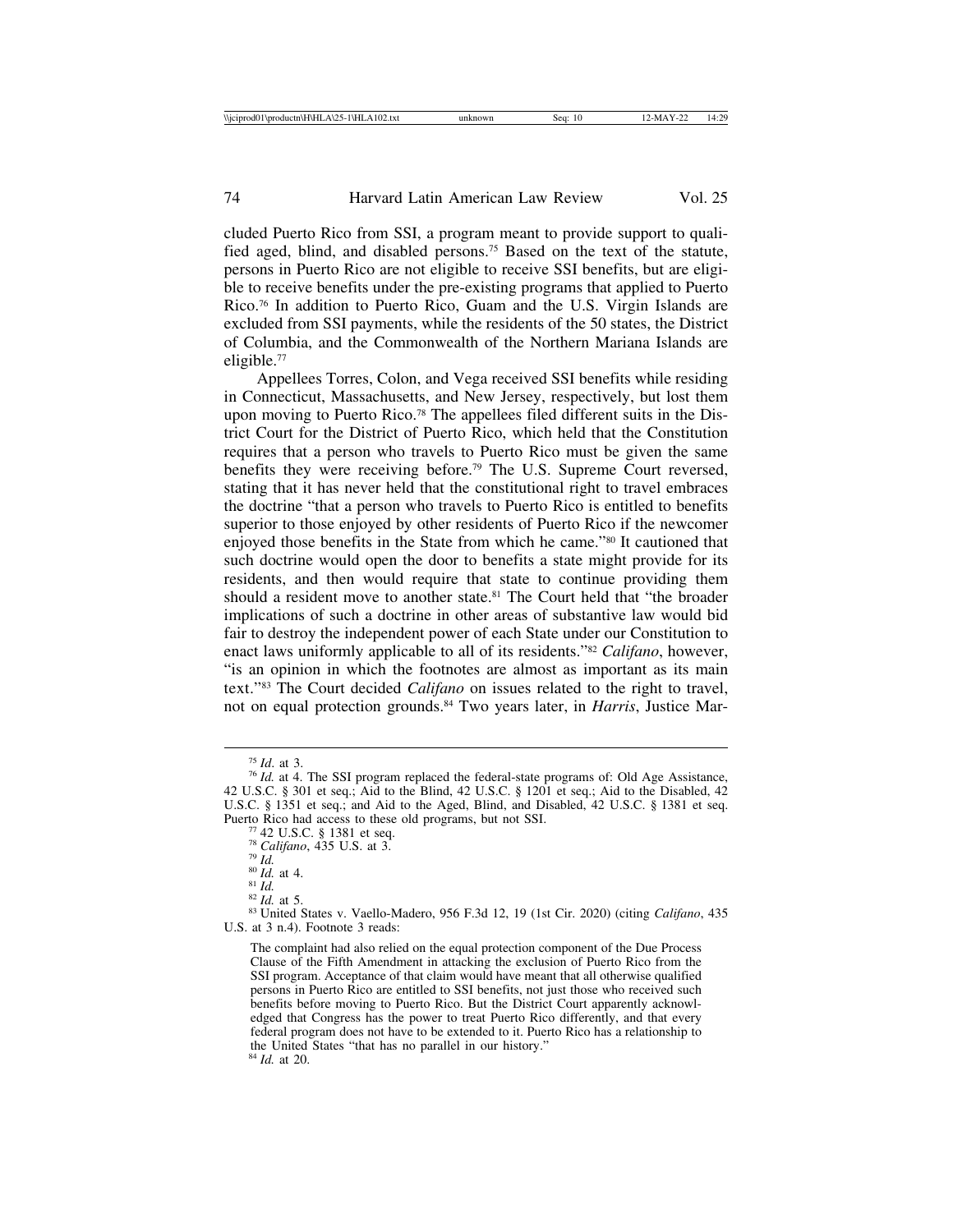cluded Puerto Rico from SSI, a program meant to provide support to qualified aged, blind, and disabled persons.75 Based on the text of the statute, persons in Puerto Rico are not eligible to receive SSI benefits, but are eligible to receive benefits under the pre-existing programs that applied to Puerto Rico.76 In addition to Puerto Rico, Guam and the U.S. Virgin Islands are excluded from SSI payments, while the residents of the 50 states, the District of Columbia, and the Commonwealth of the Northern Mariana Islands are eligible.77

Appellees Torres, Colon, and Vega received SSI benefits while residing in Connecticut, Massachusetts, and New Jersey, respectively, but lost them upon moving to Puerto Rico.78 The appellees filed different suits in the District Court for the District of Puerto Rico, which held that the Constitution requires that a person who travels to Puerto Rico must be given the same benefits they were receiving before.79 The U.S. Supreme Court reversed, stating that it has never held that the constitutional right to travel embraces the doctrine "that a person who travels to Puerto Rico is entitled to benefits superior to those enjoyed by other residents of Puerto Rico if the newcomer enjoyed those benefits in the State from which he came."80 It cautioned that such doctrine would open the door to benefits a state might provide for its residents, and then would require that state to continue providing them should a resident move to another state.<sup>81</sup> The Court held that "the broader implications of such a doctrine in other areas of substantive law would bid fair to destroy the independent power of each State under our Constitution to enact laws uniformly applicable to all of its residents."82 *Califano*, however, "is an opinion in which the footnotes are almost as important as its main text."83 The Court decided *Califano* on issues related to the right to travel, not on equal protection grounds.84 Two years later, in *Harris*, Justice Mar-

<sup>75</sup> *Id*. at 3. <sup>76</sup> *Id.* at 4. The SSI program replaced the federal-state programs of: Old Age Assistance, 42 U.S.C. § 301 et seq.; Aid to the Blind, 42 U.S.C. § 1201 et seq.; Aid to the Disabled, 42 U.S.C. § 1351 et seq.; and Aid to the Aged, Blind, and Disabled, 42 U.S.C. § 1381 et seq.

Puerto Rico had access to these old programs, but not SSI.<br>
<sup>77</sup> 42 U.S.C. § 1381 et seq.<br>
<sup>78</sup> Califano, 435 U.S. at 3.<br>
<sup>79</sup> Id.<br>
<sup>80</sup> ld. at 4.<br>
<sup>81</sup> Id.<br>
<sup>82</sup> Id. at 5.<br>
<sup>83</sup> United States v. Vaello-Madero, 956 F.3d 1 U.S. at 3 n.4). Footnote 3 reads:

The complaint had also relied on the equal protection component of the Due Process Clause of the Fifth Amendment in attacking the exclusion of Puerto Rico from the SSI program. Acceptance of that claim would have meant that all otherwise qualified persons in Puerto Rico are entitled to SSI benefits, not just those who received such benefits before moving to Puerto Rico. But the District Court apparently acknowledged that Congress has the power to treat Puerto Rico differently, and that every federal program does not have to be extended to it. Puerto Rico has a relationship to the United States "that has no parallel in our history." <sup>84</sup> *Id.* at 20.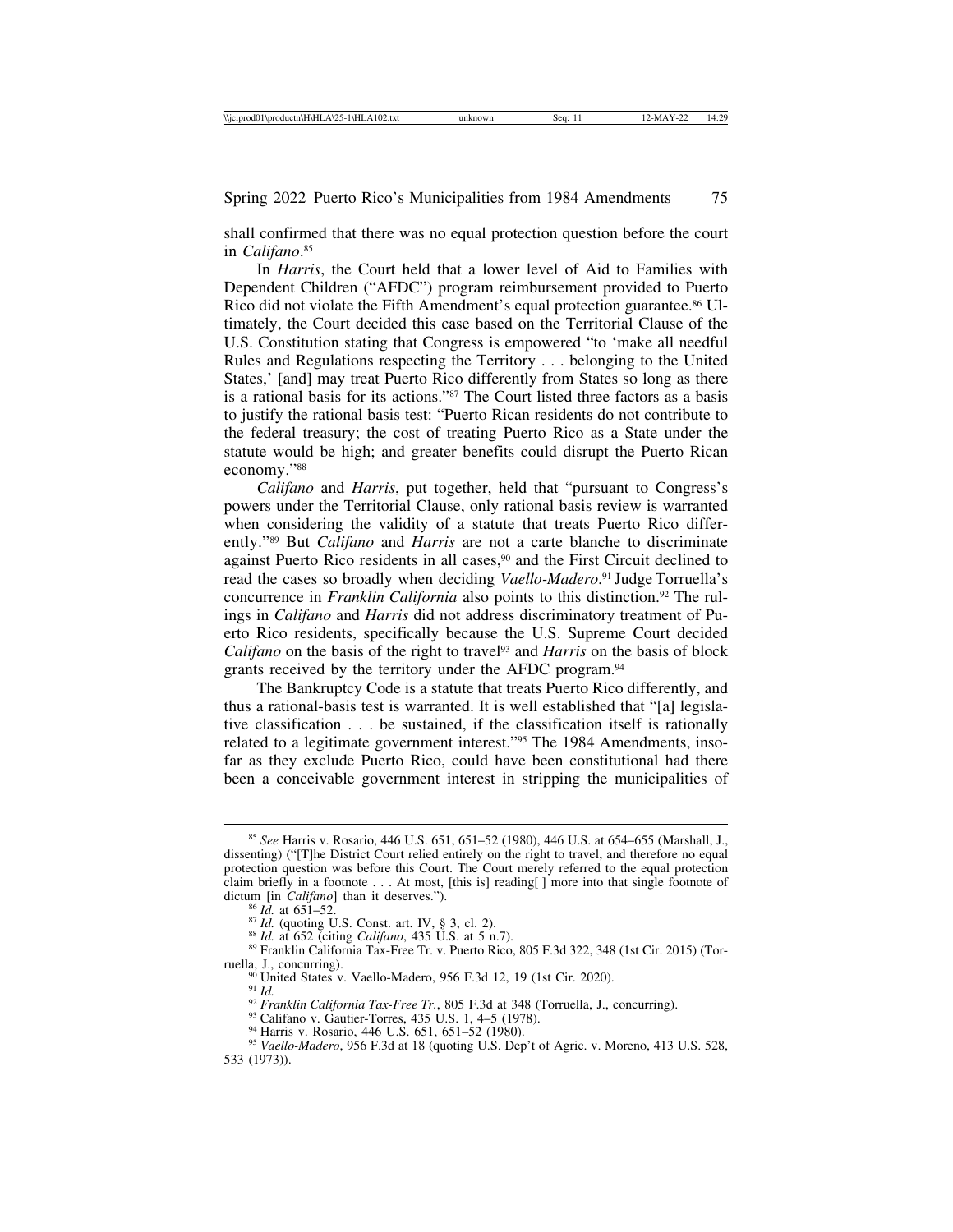shall confirmed that there was no equal protection question before the court in *Califano*. 85

In *Harris*, the Court held that a lower level of Aid to Families with Dependent Children ("AFDC") program reimbursement provided to Puerto Rico did not violate the Fifth Amendment's equal protection guarantee.<sup>86</sup> Ultimately, the Court decided this case based on the Territorial Clause of the U.S. Constitution stating that Congress is empowered "to 'make all needful Rules and Regulations respecting the Territory . . . belonging to the United States,' [and] may treat Puerto Rico differently from States so long as there is a rational basis for its actions."87 The Court listed three factors as a basis to justify the rational basis test: "Puerto Rican residents do not contribute to the federal treasury; the cost of treating Puerto Rico as a State under the statute would be high; and greater benefits could disrupt the Puerto Rican economy."88

*Califano* and *Harris*, put together, held that "pursuant to Congress's powers under the Territorial Clause, only rational basis review is warranted when considering the validity of a statute that treats Puerto Rico differently."89 But *Califano* and *Harris* are not a carte blanche to discriminate against Puerto Rico residents in all cases,<sup>90</sup> and the First Circuit declined to read the cases so broadly when deciding *Vaello-Madero*. 91 Judge Torruella's concurrence in *Franklin California* also points to this distinction.<sup>92</sup> The rulings in *Califano* and *Harris* did not address discriminatory treatment of Puerto Rico residents, specifically because the U.S. Supreme Court decided *Califano* on the basis of the right to travel<sup>93</sup> and *Harris* on the basis of block grants received by the territory under the AFDC program.<sup>94</sup>

The Bankruptcy Code is a statute that treats Puerto Rico differently, and thus a rational-basis test is warranted. It is well established that "[a] legislative classification . . . be sustained, if the classification itself is rationally related to a legitimate government interest."95 The 1984 Amendments, insofar as they exclude Puerto Rico, could have been constitutional had there been a conceivable government interest in stripping the municipalities of

<sup>85</sup> *See* Harris v. Rosario, 446 U.S. 651, 651–52 (1980), 446 U.S. at 654–655 (Marshall, J., dissenting) ("[T]he District Court relied entirely on the right to travel, and therefore no equal protection question was before this Court. The Court merely referred to the equal protection claim briefly in a footnote . . . At most, [this is] reading[] more into that single footnote of dictum [in *Califano*] than it deserves.").

<sup>&</sup>lt;sup>86</sup> *Id.* at 651–52.<br><sup>87</sup> *Id.* (quoting U.S. Const. art. IV, § 3, cl. 2).<br><sup>88</sup> *Id.* at 652 (citing *Califano*, 435 U.S. at 5 n.7).<br><sup>89</sup> Franklin California Tax-Free Tr. v. Puerto Rico, 805 F.3d 322, 348 (1st Cir. 2015)

<sup>&</sup>lt;sup>90</sup> United States v. Vaello-Madero, 956 F.3d 12, 19 (1st Cir. 2020).<br><sup>91</sup> Id.<br><sup>92</sup> Franklin California Tax-Free Tr., 805 F.3d at 348 (Torruella, J., concurring).<br><sup>93</sup> Califano v. Gautier-Torres, 435 U.S. 1, 4–5 (1978).<br><sup></sup> 533 (1973)).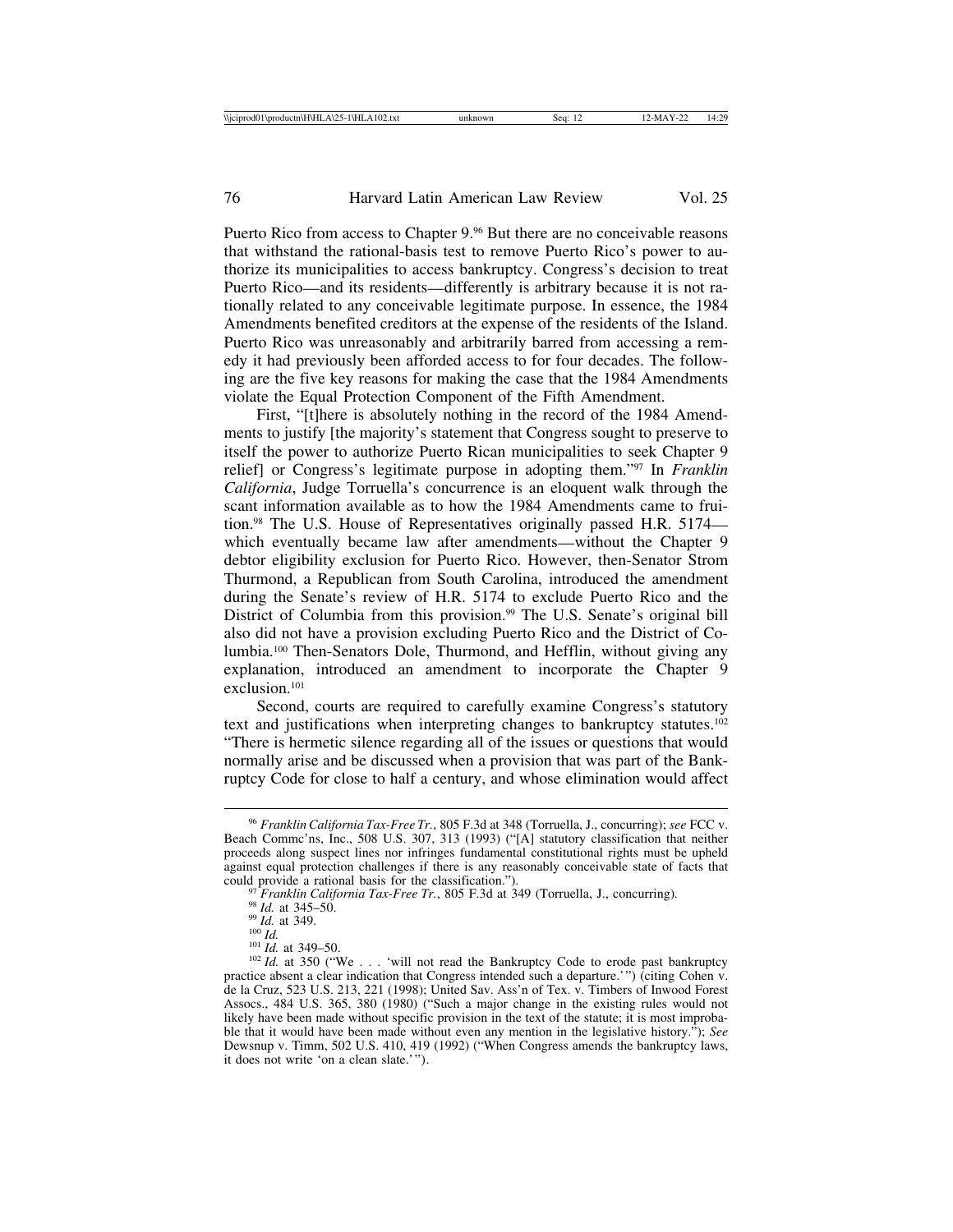Puerto Rico from access to Chapter 9.<sup>96</sup> But there are no conceivable reasons that withstand the rational-basis test to remove Puerto Rico's power to authorize its municipalities to access bankruptcy. Congress's decision to treat Puerto Rico—and its residents—differently is arbitrary because it is not rationally related to any conceivable legitimate purpose. In essence, the 1984 Amendments benefited creditors at the expense of the residents of the Island. Puerto Rico was unreasonably and arbitrarily barred from accessing a remedy it had previously been afforded access to for four decades. The following are the five key reasons for making the case that the 1984 Amendments violate the Equal Protection Component of the Fifth Amendment.

First, "[t]here is absolutely nothing in the record of the 1984 Amendments to justify [the majority's statement that Congress sought to preserve to itself the power to authorize Puerto Rican municipalities to seek Chapter 9 relief] or Congress's legitimate purpose in adopting them."97 In *Franklin California*, Judge Torruella's concurrence is an eloquent walk through the scant information available as to how the 1984 Amendments came to fruition.98 The U.S. House of Representatives originally passed H.R. 5174 which eventually became law after amendments—without the Chapter 9 debtor eligibility exclusion for Puerto Rico. However, then-Senator Strom Thurmond, a Republican from South Carolina, introduced the amendment during the Senate's review of H.R. 5174 to exclude Puerto Rico and the District of Columbia from this provision.<sup>99</sup> The U.S. Senate's original bill also did not have a provision excluding Puerto Rico and the District of Columbia.100 Then-Senators Dole, Thurmond, and Hefflin, without giving any explanation, introduced an amendment to incorporate the Chapter 9 exclusion.101

Second, courts are required to carefully examine Congress's statutory text and justifications when interpreting changes to bankruptcy statutes.102 "There is hermetic silence regarding all of the issues or questions that would normally arise and be discussed when a provision that was part of the Bankruptcy Code for close to half a century, and whose elimination would affect

<sup>96</sup> *Franklin California Tax-Free Tr.*, 805 F.3d at 348 (Torruella, J., concurring); *see* FCC v. Beach Commc'ns, Inc., 508 U.S. 307, 313 (1993) ("[A] statutory classification that neither proceeds along suspect lines nor infringes fundamental constitutional rights must be upheld against equal protection challenges if there is any reasonably conceivable state of facts that could provide a rational basis for the classification.").

<sup>&</sup>lt;sup>97</sup> Franklin California Tax-Free Tr., 805 F.3d at 349 (Torruella, J., concurring).<br><sup>98</sup> Id. at 345–50.<br><sup>199</sup> Id. at 349.<br><sup>100</sup> Id.<br><sup>100</sup> Id. at 349–50.<br><sup>101</sup> Id. at 350 ("We . . . 'will not read the Bankruptcy Code to er

practice absent a clear indication that Congress intended such a departure.'") (citing Cohen v. de la Cruz, 523 U.S. 213, 221 (1998); United Sav. Ass'n of Tex. v. Timbers of Inwood Forest Assocs., 484 U.S. 365, 380 (1980) ("Such a major change in the existing rules would not likely have been made without specific provision in the text of the statute; it is most improbable that it would have been made without even any mention in the legislative history."); *See* Dewsnup v. Timm, 502 U.S. 410, 419 (1992) ("When Congress amends the bankruptcy laws, it does not write 'on a clean slate.'").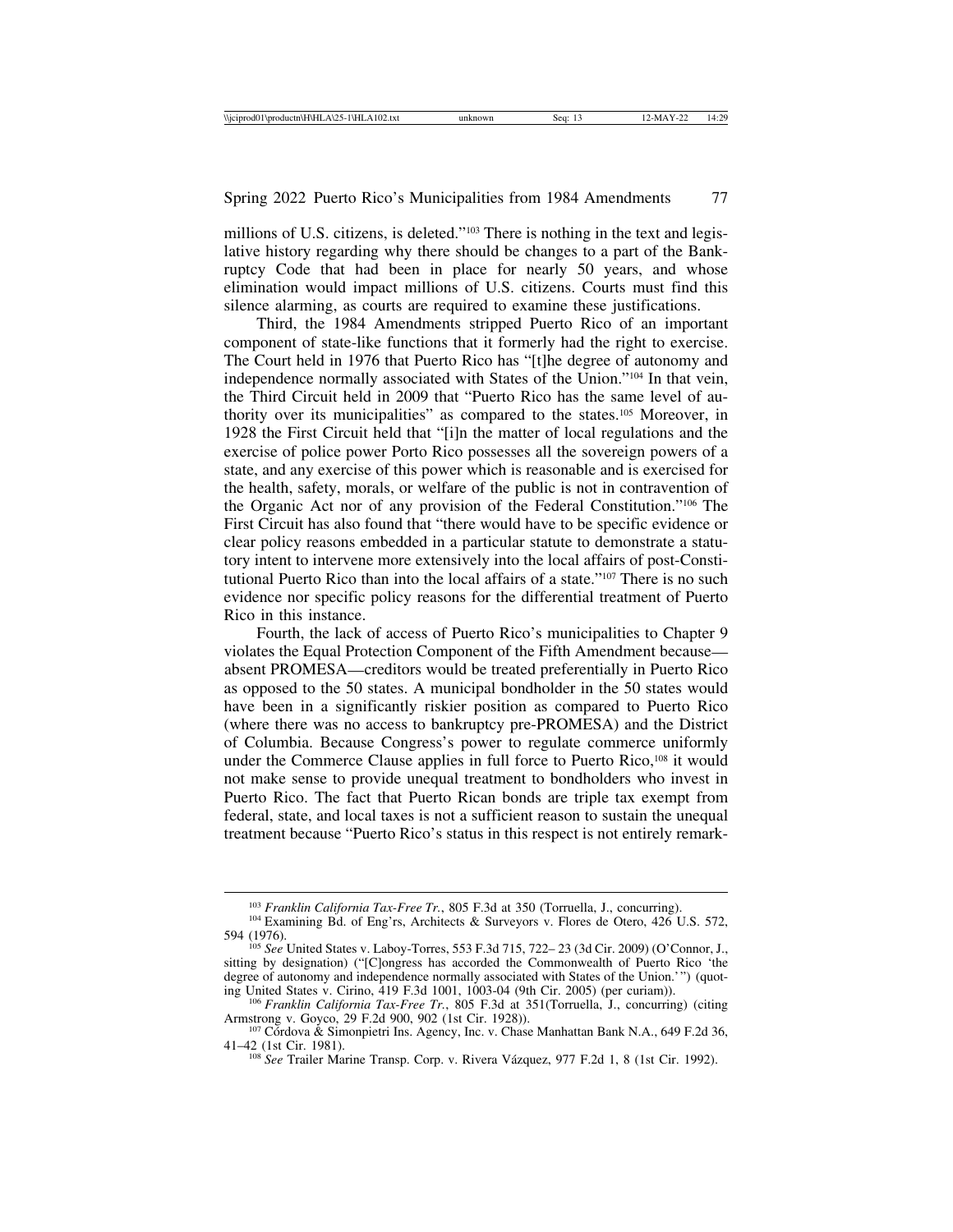millions of U.S. citizens, is deleted."103 There is nothing in the text and legislative history regarding why there should be changes to a part of the Bankruptcy Code that had been in place for nearly 50 years, and whose elimination would impact millions of U.S. citizens. Courts must find this silence alarming, as courts are required to examine these justifications.

Third, the 1984 Amendments stripped Puerto Rico of an important component of state-like functions that it formerly had the right to exercise. The Court held in 1976 that Puerto Rico has "[t]he degree of autonomy and independence normally associated with States of the Union."104 In that vein, the Third Circuit held in 2009 that "Puerto Rico has the same level of authority over its municipalities" as compared to the states.105 Moreover, in 1928 the First Circuit held that "[i]n the matter of local regulations and the exercise of police power Porto Rico possesses all the sovereign powers of a state, and any exercise of this power which is reasonable and is exercised for the health, safety, morals, or welfare of the public is not in contravention of the Organic Act nor of any provision of the Federal Constitution."106 The First Circuit has also found that "there would have to be specific evidence or clear policy reasons embedded in a particular statute to demonstrate a statutory intent to intervene more extensively into the local affairs of post-Constitutional Puerto Rico than into the local affairs of a state."107 There is no such evidence nor specific policy reasons for the differential treatment of Puerto Rico in this instance.

Fourth, the lack of access of Puerto Rico's municipalities to Chapter 9 violates the Equal Protection Component of the Fifth Amendment because absent PROMESA—creditors would be treated preferentially in Puerto Rico as opposed to the 50 states. A municipal bondholder in the 50 states would have been in a significantly riskier position as compared to Puerto Rico (where there was no access to bankruptcy pre-PROMESA) and the District of Columbia. Because Congress's power to regulate commerce uniformly under the Commerce Clause applies in full force to Puerto Rico,<sup>108</sup> it would not make sense to provide unequal treatment to bondholders who invest in Puerto Rico. The fact that Puerto Rican bonds are triple tax exempt from federal, state, and local taxes is not a sufficient reason to sustain the unequal treatment because "Puerto Rico's status in this respect is not entirely remark-

<sup>&</sup>lt;sup>103</sup> *Franklin California Tax-Free Tr.*, 805 F.3d at 350 (Torruella, J., concurring).<br><sup>104</sup> Examining Bd. of Eng'rs, Architects & Surveyors v. Flores de Otero, 426 U.S. 572,<br>594 (1976).

<sup>594 (1976).</sup> <sup>105</sup> *See* United States v. Laboy-Torres, 553 F.3d 715, 722– 23 (3d Cir. 2009) (O'Connor, J., sitting by designation) ("[C]ongress has accorded the Commonwealth of Puerto Rico 'the degree of autonomy and independence normally associated with States of the Union.'") (quoting United States v. Cirino, 419 F.3d 1001, 1003-04 (9th Cir. 2005) (per curiam)).

<sup>&</sup>lt;sup>106</sup> Franklin California Tax-Free Tr., 805 F.3d at 351(Torruella, J., concurring) (citing Armstrong v. Goyco, 29 F.2d 900, 902 (1st Cir. 1928)).

<sup>&</sup>lt;sup>107</sup> Córdova & Simonpietri Ins. Agency, Inc. v. Chase Manhattan Bank N.A., 649 F.2d 36, 41–42 (1st Cir. 1981).

<sup>&</sup>lt;sup>108</sup> *See* Trailer Marine Transp. Corp. v. Rivera Vázquez, 977 F.2d 1, 8 (1st Cir. 1992).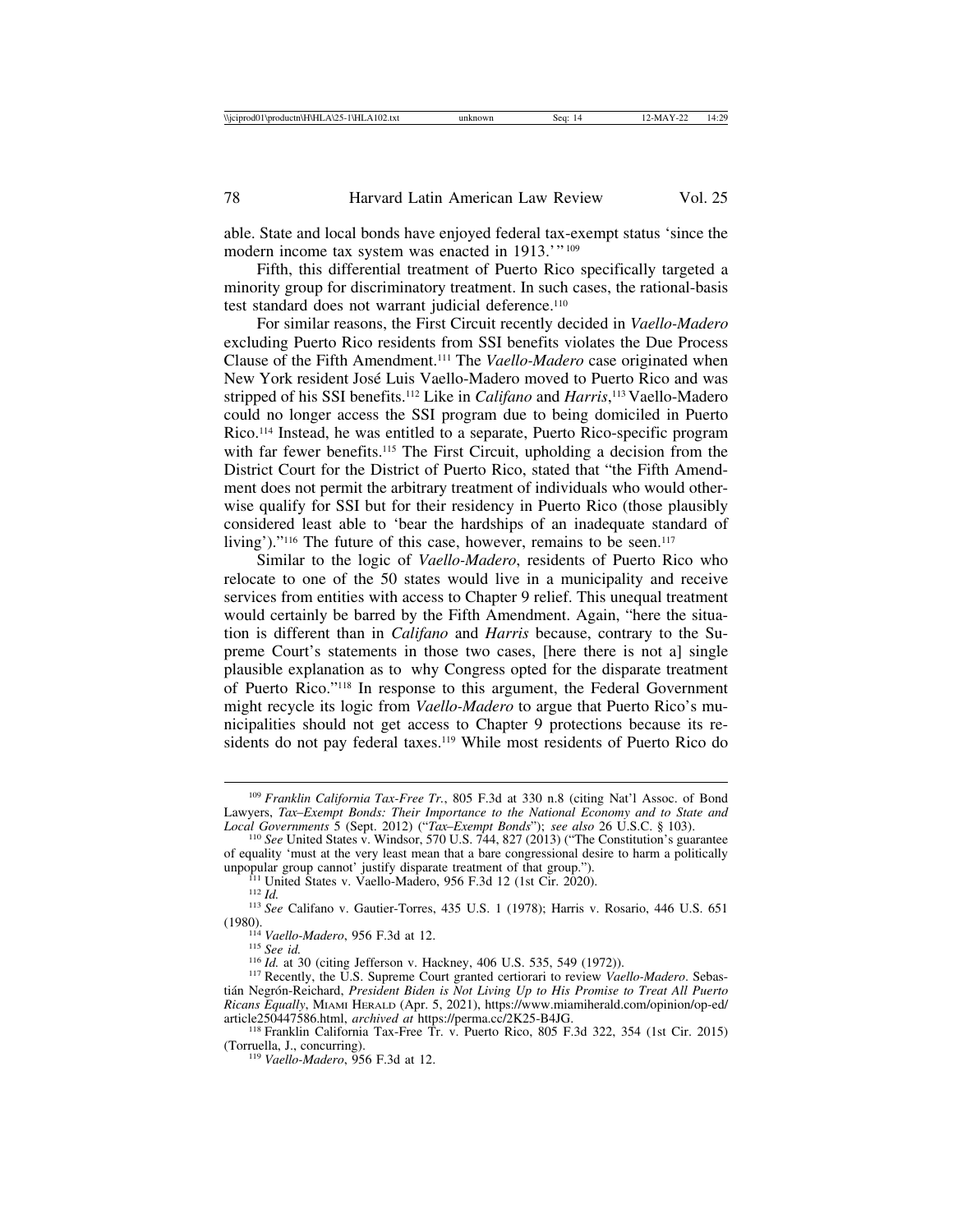able. State and local bonds have enjoyed federal tax-exempt status 'since the modern income tax system was enacted in 1913.'" 109

Fifth, this differential treatment of Puerto Rico specifically targeted a minority group for discriminatory treatment. In such cases, the rational-basis test standard does not warrant judicial deference.<sup>110</sup>

For similar reasons, the First Circuit recently decided in *Vaello-Madero* excluding Puerto Rico residents from SSI benefits violates the Due Process Clause of the Fifth Amendment.111 The *Vaello-Madero* case originated when New York resident José Luis Vaello-Madero moved to Puerto Rico and was stripped of his SSI benefits.112 Like in *Califano* and *Harris*, 113 Vaello-Madero could no longer access the SSI program due to being domiciled in Puerto Rico.114 Instead, he was entitled to a separate, Puerto Rico-specific program with far fewer benefits.<sup>115</sup> The First Circuit, upholding a decision from the District Court for the District of Puerto Rico, stated that "the Fifth Amendment does not permit the arbitrary treatment of individuals who would otherwise qualify for SSI but for their residency in Puerto Rico (those plausibly considered least able to 'bear the hardships of an inadequate standard of living')."<sup>116</sup> The future of this case, however, remains to be seen.<sup>117</sup>

Similar to the logic of *Vaello-Madero*, residents of Puerto Rico who relocate to one of the 50 states would live in a municipality and receive services from entities with access to Chapter 9 relief. This unequal treatment would certainly be barred by the Fifth Amendment. Again, "here the situation is different than in *Califano* and *Harris* because, contrary to the Supreme Court's statements in those two cases, [here there is not a] single plausible explanation as to why Congress opted for the disparate treatment of Puerto Rico."118 In response to this argument, the Federal Government might recycle its logic from *Vaello-Madero* to argue that Puerto Rico's municipalities should not get access to Chapter 9 protections because its residents do not pay federal taxes.<sup>119</sup> While most residents of Puerto Rico do

<sup>109</sup> *Franklin California Tax-Free Tr.*, 805 F.3d at 330 n.8 (citing Nat'l Assoc. of Bond Lawyers, *Tax*–*Exempt Bonds: Their Importance to the National Economy and to State and*

<sup>&</sup>lt;sup>110</sup> *See* United States v. Windsor, 570 U.S. 744, 827 (2013) ("The Constitution's guarantee of equality 'must at the very least mean that a bare congressional desire to harm a politically

unpopular group cannot' justify disparate treatment of that group.").<br>
<sup>111</sup> United States v. Vaello-Madero, 956 F.3d 12 (1st Cir. 2020).<br>
<sup>112</sup> Id.<br>
<sup>113</sup> See Califano v. Gautier-Torres, 435 U.S. 1 (1978); Harris v. Rosar

<sup>&</sup>lt;sup>114</sup> Vaello-Madero, 956 F.3d at 12.<br><sup>115</sup> See id.<br><sup>116</sup> Id. at 30 (citing Jefferson v. Hackney, 406 U.S. 535, 549 (1972)).<br><sup>117</sup> Recently, the U.S. Supreme Court granted certiorari to review *Vaello-Madero*. Sebastián Negrón-Reichard, President Biden is Not Living Up to His Promise to Treat All Puerto *Ricans Equally*, MIAMI HERALD (Apr. 5, 2021), https://www.miamiherald.com/opinion/op-ed/

<sup>&</sup>lt;sup>118</sup> Franklin California Tax-Free Tr. v. Puerto Rico, 805 F.3d 322, 354 (1st Cir. 2015) (Torruella, J., concurring).

<sup>&</sup>lt;sup>119</sup> Vaello-Madero, 956 F.3d at 12.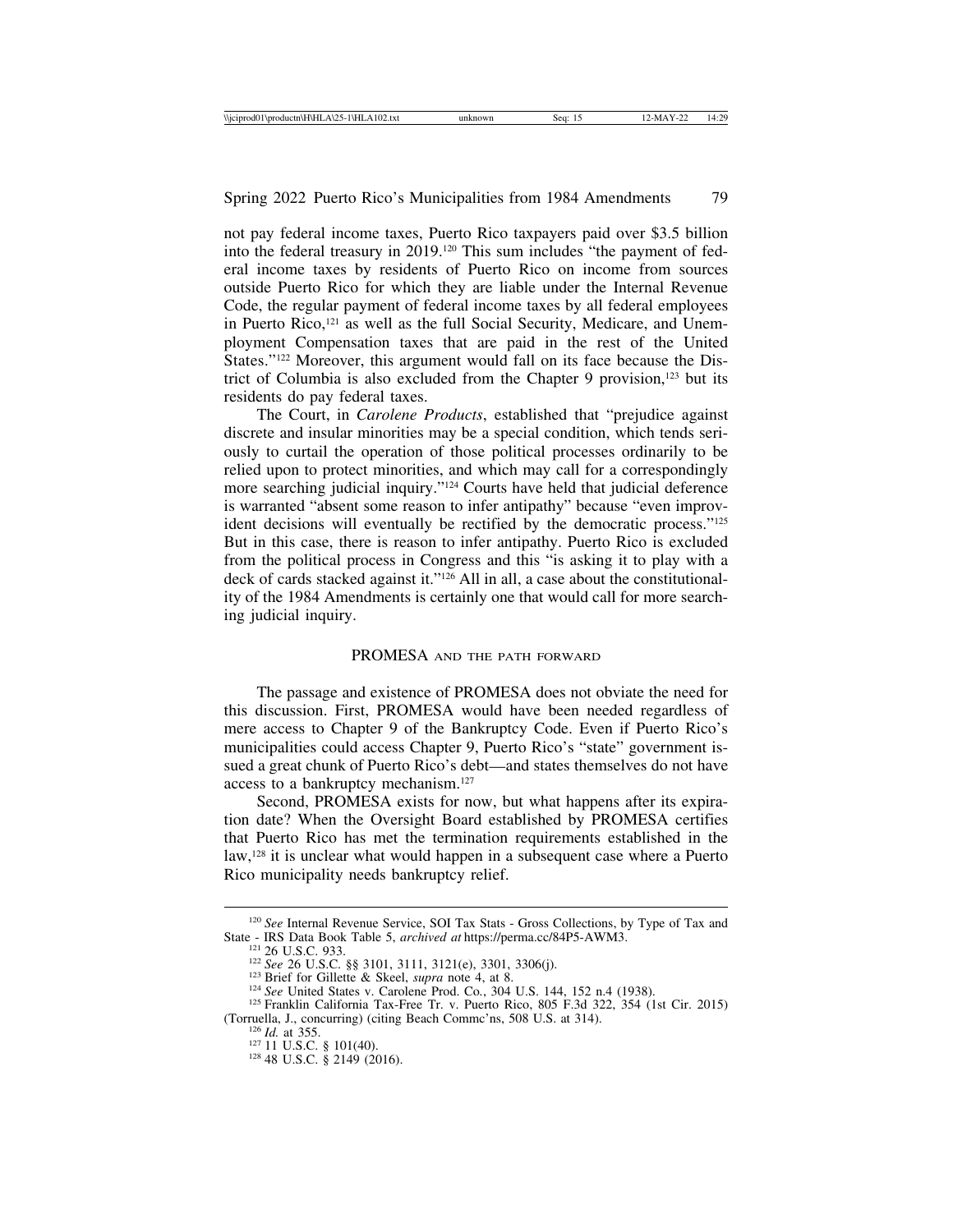not pay federal income taxes, Puerto Rico taxpayers paid over \$3.5 billion into the federal treasury in 2019.120 This sum includes "the payment of federal income taxes by residents of Puerto Rico on income from sources outside Puerto Rico for which they are liable under the Internal Revenue Code, the regular payment of federal income taxes by all federal employees in Puerto Rico,<sup>121</sup> as well as the full Social Security, Medicare, and Unemployment Compensation taxes that are paid in the rest of the United States."122 Moreover, this argument would fall on its face because the District of Columbia is also excluded from the Chapter 9 provision, $123$  but its residents do pay federal taxes.

The Court, in *Carolene Products*, established that "prejudice against discrete and insular minorities may be a special condition, which tends seriously to curtail the operation of those political processes ordinarily to be relied upon to protect minorities, and which may call for a correspondingly more searching judicial inquiry."124 Courts have held that judicial deference is warranted "absent some reason to infer antipathy" because "even improvident decisions will eventually be rectified by the democratic process."125 But in this case, there is reason to infer antipathy. Puerto Rico is excluded from the political process in Congress and this "is asking it to play with a deck of cards stacked against it."126 All in all, a case about the constitutionality of the 1984 Amendments is certainly one that would call for more searching judicial inquiry.

#### PROMESA AND THE PATH FORWARD

The passage and existence of PROMESA does not obviate the need for this discussion. First, PROMESA would have been needed regardless of mere access to Chapter 9 of the Bankruptcy Code. Even if Puerto Rico's municipalities could access Chapter 9, Puerto Rico's "state" government issued a great chunk of Puerto Rico's debt—and states themselves do not have access to a bankruptcy mechanism.127

Second, PROMESA exists for now, but what happens after its expiration date? When the Oversight Board established by PROMESA certifies that Puerto Rico has met the termination requirements established in the law,128 it is unclear what would happen in a subsequent case where a Puerto Rico municipality needs bankruptcy relief.

<sup>&</sup>lt;sup>120</sup> *See* Internal Revenue Service, SOI Tax Stats - Gross Collections, by Type of Tax and State - IRS Data Book Table 5, *archived at* https://perma.cc/84P5-AWM3.

<sup>&</sup>lt;sup>121</sup> 26 U.S.C. 933.<br><sup>122</sup> *See* 26 U.S.C. §§ 3101, 3111, 3121(e), 3301, 3306(j).<br><sup>123</sup> Brief for Gillette & Skeel, *supra* note 4, at 8.<br><sup>124</sup> *See* United States v. Carolene Prod. Co., 304 U.S. 144, 152 n.4 (1938).<br><sup>125</sup>

<sup>(</sup>Torruella, J., concurring) (citing Beach Commc'ns, 508 U.S. at 314). <sup>126</sup> *Id.* at 355. <sup>127</sup> 11 U.S.C. § 101(40). <sup>128</sup> 48 U.S.C. § 2149 (2016).